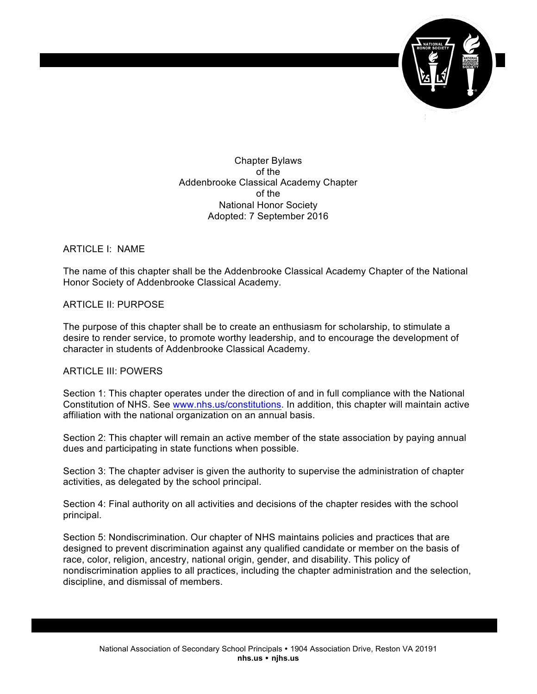

Chapter Bylaws of the Addenbrooke Classical Academy Chapter of the National Honor Society Adopted: 7 September 2016

ARTICLE I: NAME

The name of this chapter shall be the Addenbrooke Classical Academy Chapter of the National Honor Society of Addenbrooke Classical Academy.

ARTICLE II: PURPOSE

The purpose of this chapter shall be to create an enthusiasm for scholarship, to stimulate a desire to render service, to promote worthy leadership, and to encourage the development of character in students of Addenbrooke Classical Academy.

## ARTICLE III: POWERS

Section 1: This chapter operates under the direction of and in full compliance with the National Constitution of NHS. See www.nhs.us/constitutions. In addition, this chapter will maintain active affiliation with the national organization on an annual basis.

Section 2: This chapter will remain an active member of the state association by paying annual dues and participating in state functions when possible.

Section 3: The chapter adviser is given the authority to supervise the administration of chapter activities, as delegated by the school principal.

Section 4: Final authority on all activities and decisions of the chapter resides with the school principal.

Section 5: Nondiscrimination. Our chapter of NHS maintains policies and practices that are designed to prevent discrimination against any qualified candidate or member on the basis of race, color, religion, ancestry, national origin, gender, and disability. This policy of nondiscrimination applies to all practices, including the chapter administration and the selection, discipline, and dismissal of members.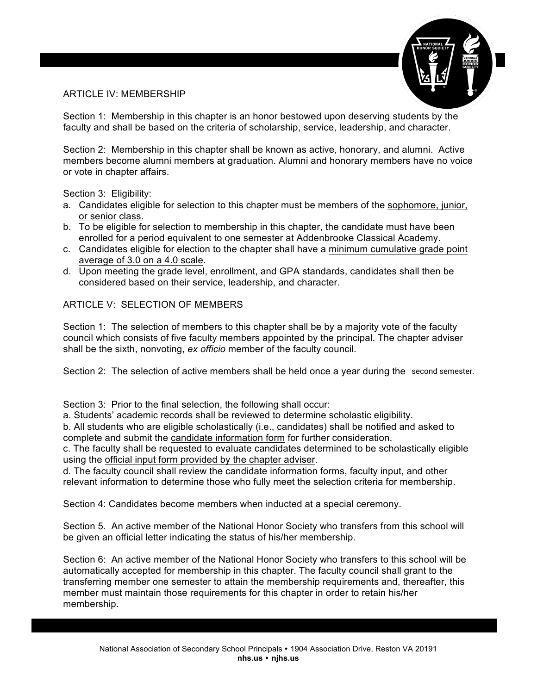# ARTICLE IV: MEMBERSHIP



Section 1: Membership in this chapter is an honor bestowed upon deserving students by the faculty and shall be based on the criteria of scholarship, service, leadership, and character.

Section 2: Membership in this chapter shall be known as active, honorary, and alumni. Active members become alumni members at graduation. Alumni and honorary members have no voice or vote in chapter affairs.

Section 3: Eligibility:

- a. Candidates eligible for selection to this chapter must be members of the sophomore, junior, or senior class.
- b. To be eligible for selection to membership in this chapter, the candidate must have been enrolled for a period equivalent to one semester at Addenbrooke Classical Academy.
- c. Candidates eligible for election to the chapter shall have a minimum cumulative grade point average of 3.0 on a 4.0 scale.
- d. Upon meeting the grade level, enrollment, and GPA standards, candidates shall then be considered based on their service, leadership, and character.

ARTICLE V: SELECTION OF MEMBERS

Section 1: The selection of members to this chapter shall be by a majority vote of the faculty council which consists of five faculty members appointed by the principal. The chapter adviser shall be the sixth, nonvoting, *ex officio* member of the faculty council.

Section 2: The selection of active members shall be held once a year during the second semester.

Section 3: Prior to the final selection, the following shall occur:

a. Students' academic records shall be reviewed to determine scholastic eligibility.

b. All students who are eligible scholastically (i.e., candidates) shall be notified and asked to complete and submit the candidate information form for further consideration.

c. The faculty shall be requested to evaluate candidates determined to be scholastically eligible using the official input form provided by the chapter adviser.

d. The faculty council shall review the candidate information forms, faculty input, and other relevant information to determine those who fully meet the selection criteria for membership.

Section 4: Candidates become members when inducted at a special ceremony.

Section 5. An active member of the National Honor Society who transfers from this school will be given an official letter indicating the status of his/her membership.

Section 6: An active member of the National Honor Society who transfers to this school will be automatically accepted for membership in this chapter. The faculty council shall grant to the transferring member one semester to attain the membership requirements and, thereafter, this member must maintain those requirements for this chapter in order to retain his/her membership.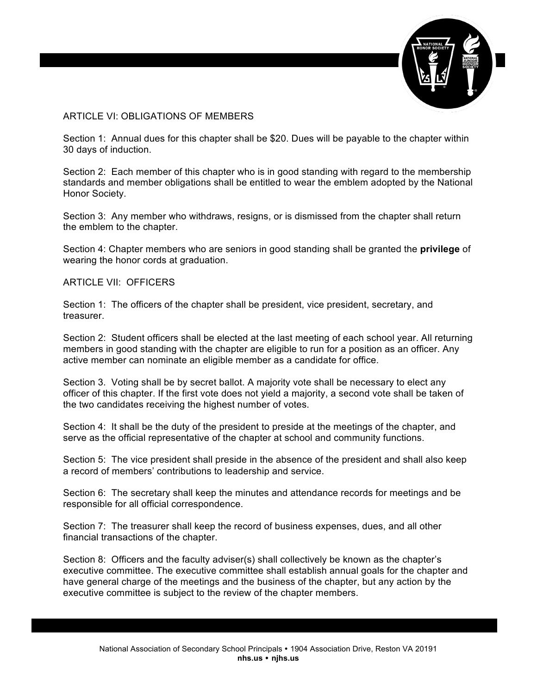

## ARTICLE VI: OBLIGATIONS OF MEMBERS

Section 1: Annual dues for this chapter shall be \$20. Dues will be payable to the chapter within 30 days of induction.

Section 2: Each member of this chapter who is in good standing with regard to the membership standards and member obligations shall be entitled to wear the emblem adopted by the National Honor Society.

Section 3: Any member who withdraws, resigns, or is dismissed from the chapter shall return the emblem to the chapter.

Section 4: Chapter members who are seniors in good standing shall be granted the **privilege** of wearing the honor cords at graduation.

#### ARTICLE VII: OFFICERS

Section 1: The officers of the chapter shall be president, vice president, secretary, and treasurer.

Section 2: Student officers shall be elected at the last meeting of each school year. All returning members in good standing with the chapter are eligible to run for a position as an officer. Any active member can nominate an eligible member as a candidate for office.

Section 3. Voting shall be by secret ballot. A majority vote shall be necessary to elect any officer of this chapter. If the first vote does not yield a majority, a second vote shall be taken of the two candidates receiving the highest number of votes.

Section 4: It shall be the duty of the president to preside at the meetings of the chapter, and serve as the official representative of the chapter at school and community functions.

Section 5: The vice president shall preside in the absence of the president and shall also keep a record of members' contributions to leadership and service.

Section 6: The secretary shall keep the minutes and attendance records for meetings and be responsible for all official correspondence.

Section 7: The treasurer shall keep the record of business expenses, dues, and all other financial transactions of the chapter.

Section 8: Officers and the faculty adviser(s) shall collectively be known as the chapter's executive committee. The executive committee shall establish annual goals for the chapter and have general charge of the meetings and the business of the chapter, but any action by the executive committee is subject to the review of the chapter members.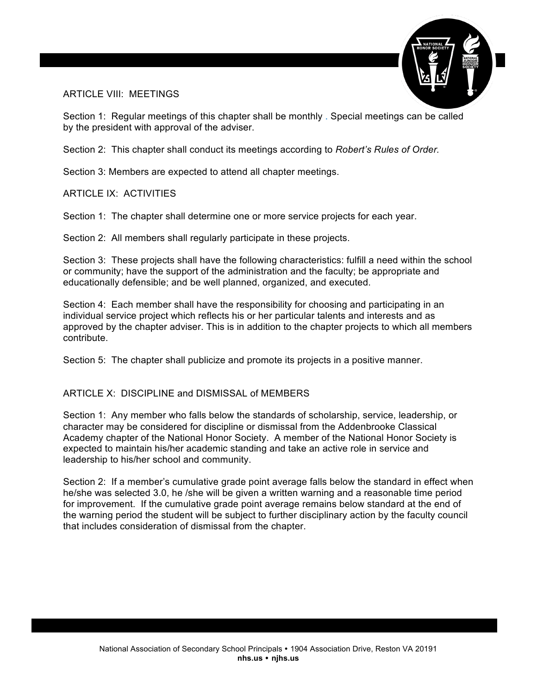

### ARTICLE VIII: MEETINGS

Section 1: Regular meetings of this chapter shall be monthly . Special meetings can be called by the president with approval of the adviser.

Section 2: This chapter shall conduct its meetings according to *Robert's Rules of Order.*

Section 3: Members are expected to attend all chapter meetings.

ARTICLE IX: ACTIVITIES

Section 1: The chapter shall determine one or more service projects for each year.

Section 2: All members shall regularly participate in these projects.

Section 3: These projects shall have the following characteristics: fulfill a need within the school or community; have the support of the administration and the faculty; be appropriate and educationally defensible; and be well planned, organized, and executed.

Section 4: Each member shall have the responsibility for choosing and participating in an individual service project which reflects his or her particular talents and interests and as approved by the chapter adviser. This is in addition to the chapter projects to which all members contribute.

Section 5: The chapter shall publicize and promote its projects in a positive manner.

### ARTICLE X: DISCIPLINE and DISMISSAL of MEMBERS

Section 1: Any member who falls below the standards of scholarship, service, leadership, or character may be considered for discipline or dismissal from the Addenbrooke Classical Academy chapter of the National Honor Society. A member of the National Honor Society is expected to maintain his/her academic standing and take an active role in service and leadership to his/her school and community.

Section 2: If a member's cumulative grade point average falls below the standard in effect when he/she was selected 3.0, he /she will be given a written warning and a reasonable time period for improvement. If the cumulative grade point average remains below standard at the end of the warning period the student will be subject to further disciplinary action by the faculty council that includes consideration of dismissal from the chapter.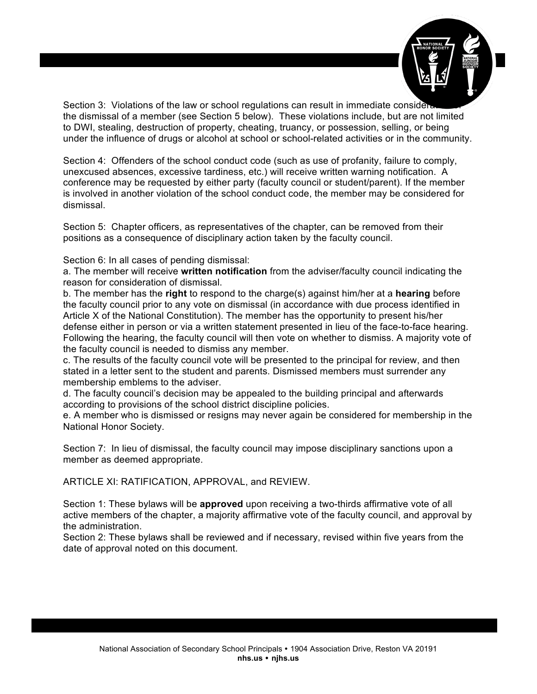

Section 3: Violations of the law or school regulations can result in immediate consideration the dismissal of a member (see Section 5 below). These violations include, but are not limited to DWI, stealing, destruction of property, cheating, truancy, or possession, selling, or being under the influence of drugs or alcohol at school or school-related activities or in the community.

Section 4: Offenders of the school conduct code (such as use of profanity, failure to comply, unexcused absences, excessive tardiness, etc.) will receive written warning notification. A conference may be requested by either party (faculty council or student/parent). If the member is involved in another violation of the school conduct code, the member may be considered for dismissal.

Section 5: Chapter officers, as representatives of the chapter, can be removed from their positions as a consequence of disciplinary action taken by the faculty council.

Section 6: In all cases of pending dismissal:

a. The member will receive **written notification** from the adviser/faculty council indicating the reason for consideration of dismissal.

b. The member has the **right** to respond to the charge(s) against him/her at a **hearing** before the faculty council prior to any vote on dismissal (in accordance with due process identified in Article X of the National Constitution). The member has the opportunity to present his/her defense either in person or via a written statement presented in lieu of the face-to-face hearing. Following the hearing, the faculty council will then vote on whether to dismiss. A majority vote of the faculty council is needed to dismiss any member.

c. The results of the faculty council vote will be presented to the principal for review, and then stated in a letter sent to the student and parents. Dismissed members must surrender any membership emblems to the adviser.

d. The faculty council's decision may be appealed to the building principal and afterwards according to provisions of the school district discipline policies.

e. A member who is dismissed or resigns may never again be considered for membership in the National Honor Society.

Section 7: In lieu of dismissal, the faculty council may impose disciplinary sanctions upon a member as deemed appropriate.

ARTICLE XI: RATIFICATION, APPROVAL, and REVIEW.

Section 1: These bylaws will be **approved** upon receiving a two-thirds affirmative vote of all active members of the chapter, a majority affirmative vote of the faculty council, and approval by the administration.

Section 2: These bylaws shall be reviewed and if necessary, revised within five years from the date of approval noted on this document.